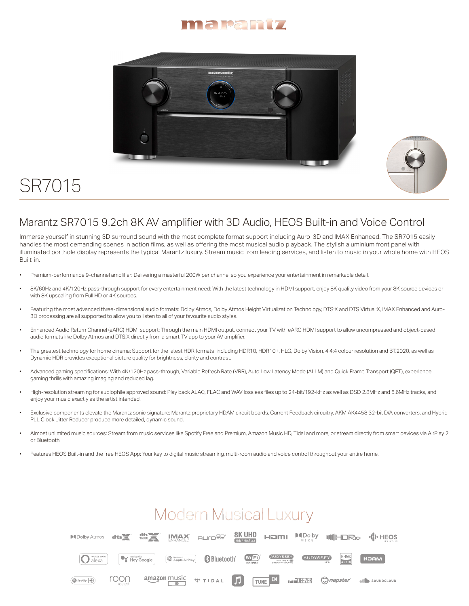



## SR7015



## Marantz SR7015 9.2ch 8K AV amplifier with 3D Audio, HEOS Built-in and Voice Control

Immerse yourself in stunning 3D surround sound with the most complete format support including Auro-3D and IMAX Enhanced. The SR7015 easily handles the most demanding scenes in action films, as well as offering the most musical audio playback. The stylish aluminium front panel with illuminated porthole display represents the typical Marantz luxury. Stream music from leading services, and listen to music in your whole home with HEOS Built-in.

- Premium-performance 9-channel amplifier: Delivering a masterful 200W per channel so you experience your entertainment in remarkable detail.
- 8K/60Hz and 4K/120Hz pass-through support for every entertainment need: With the latest technology in HDMI support, enjoy 8K quality video from your 8K source devices or with 8K upscaling from Full HD or 4K sources.
- Featuring the most advanced three-dimensional audio formats: Dolby Atmos, Dolby Atmos Height Virtualization Technology, DTS:X and DTS Virtual:X, IMAX Enhanced and Auro-3D processing are all supported to allow you to listen to all of your favourite audio styles.
- Enhanced Audio Return Channel (eARC) HDMI support: Through the main HDMI output, connect your TV with eARC HDMI support to allow uncompressed and object-based audio formats like Dolby Atmos and DTS:X directly from a smart TV app to your AV amplifier.
- The greatest technology for home cinema: Support for the latest HDR formats including HDR10, HDR10+, HLG, Dolby Vision, 4:4:4 colour resolution and BT.2020, as well as Dynamic HDR provides exceptional picture quality for brightness, clarity and contrast.
- Advanced gaming specifications: With 4K/120Hz pass-through, Variable Refresh Rate (VRR), Auto Low Latency Mode (ALLM) and Quick Frame Transport (QFT), experience gaming thrills with amazing imaging and reduced lag.
- High-resolution streaming for audiophile approved sound: Play back ALAC, FLAC and WAV lossless files up to 24-bit/192-kHz as well as DSD 2.8MHz and 5.6MHz tracks, and enjoy your music exactly as the artist intended.
- Exclusive components elevate the Marantz sonic signature: Marantz proprietary HDAM circuit boards, Current Feedback circuitry, AKM AK4458 32-bit D/A converters, and Hybrid PLL Clock Jitter Reducer produce more detailed, dynamic sound.
- Almost unlimited music sources: Stream from music services like Spotify Free and Premium, Amazon Music HD, Tidal and more, or stream directly from smart devices via AirPlay 2 or Bluetooth
- Features HEOS Built-in and the free HEOS App: Your key to digital music streaming, multi-room audio and voice control throughout your entire home.

## **Modern Musical Luxury**